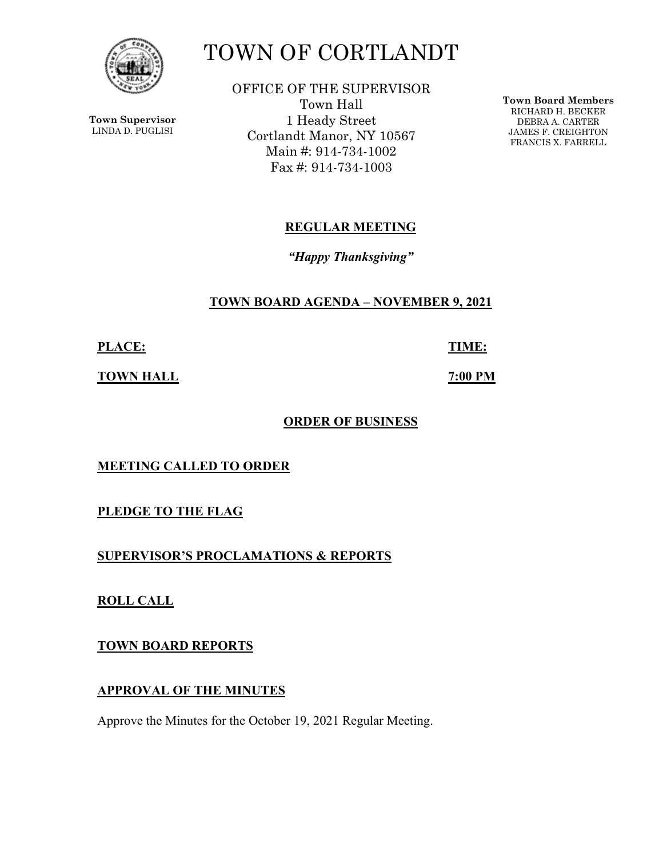

**Town Supervisor** LINDA D. PUGLISI

# TOWN OF CORTLANDT

OFFICE OF THE SUPERVISOR Town Hall 1 Heady Street Cortlandt Manor, NY 10567 Main #: 914-734-1002 Fax #: 914-734-1003

**Town Board Members** RICHARD H. BECKER DEBRA A. CARTER JAMES F. CREIGHTON FRANCIS X. FARRELL

## **REGULAR MEETING**

*"Happy Thanksgiving"* 

## **TOWN BOARD AGENDA – NOVEMBER 9, 2021**

**PLACE: TIME:** 

**TOWN HALL 7:00 PM** 

## **ORDER OF BUSINESS**

# **MEETING CALLED TO ORDER**

**PLEDGE TO THE FLAG** 

## **SUPERVISOR'S PROCLAMATIONS & REPORTS**

**ROLL CALL** 

## **TOWN BOARD REPORTS**

## **APPROVAL OF THE MINUTES**

Approve the Minutes for the October 19, 2021 Regular Meeting.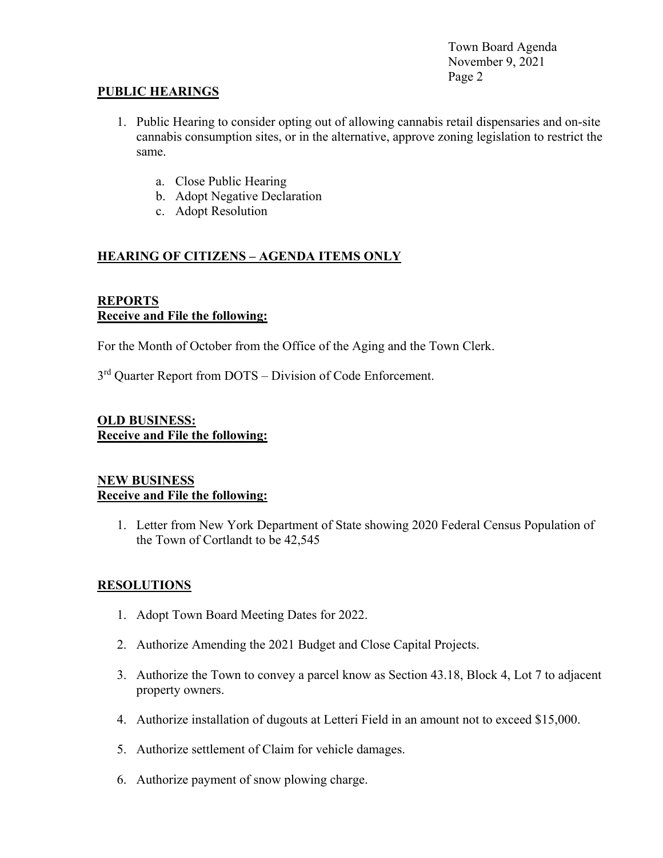Town Board Agenda November 9, 2021 Page 2

#### **PUBLIC HEARINGS**

- 1. Public Hearing to consider opting out of allowing cannabis retail dispensaries and on-site cannabis consumption sites, or in the alternative, approve zoning legislation to restrict the same.
	- a. Close Public Hearing
	- b. Adopt Negative Declaration
	- c. Adopt Resolution

# **HEARING OF CITIZENS – AGENDA ITEMS ONLY**

#### **REPORTS Receive and File the following:**

For the Month of October from the Office of the Aging and the Town Clerk.

3<sup>rd</sup> Quarter Report from DOTS – Division of Code Enforcement.

## **OLD BUSINESS: Receive and File the following:**

#### **NEW BUSINESS Receive and File the following:**

1. Letter from New York Department of State showing 2020 Federal Census Population of the Town of Cortlandt to be 42,545

## **RESOLUTIONS**

- 1. Adopt Town Board Meeting Dates for 2022.
- 2. Authorize Amending the 2021 Budget and Close Capital Projects.
- 3. Authorize the Town to convey a parcel know as Section 43.18, Block 4, Lot 7 to adjacent property owners.
- 4. Authorize installation of dugouts at Letteri Field in an amount not to exceed \$15,000.
- 5. Authorize settlement of Claim for vehicle damages.
- 6. Authorize payment of snow plowing charge.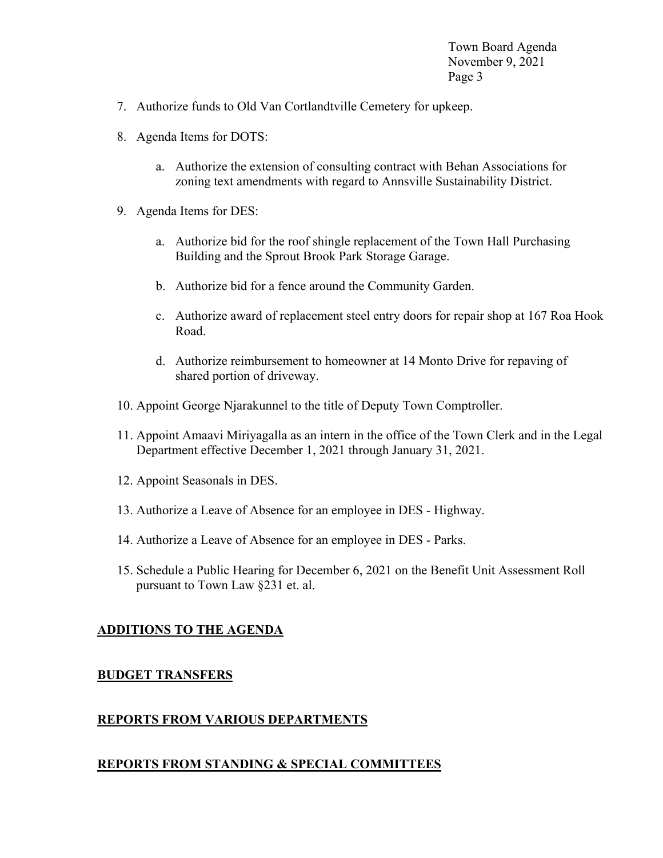Town Board Agenda November 9, 2021 Page 3

- 7. Authorize funds to Old Van Cortlandtville Cemetery for upkeep.
- 8. Agenda Items for DOTS:
	- a. Authorize the extension of consulting contract with Behan Associations for zoning text amendments with regard to Annsville Sustainability District.
- 9. Agenda Items for DES:
	- a. Authorize bid for the roof shingle replacement of the Town Hall Purchasing Building and the Sprout Brook Park Storage Garage.
	- b. Authorize bid for a fence around the Community Garden.
	- c. Authorize award of replacement steel entry doors for repair shop at 167 Roa Hook Road.
	- d. Authorize reimbursement to homeowner at 14 Monto Drive for repaving of shared portion of driveway.
- 10. Appoint George Njarakunnel to the title of Deputy Town Comptroller.
- 11. Appoint Amaavi Miriyagalla as an intern in the office of the Town Clerk and in the Legal Department effective December 1, 2021 through January 31, 2021.
- 12. Appoint Seasonals in DES.
- 13. Authorize a Leave of Absence for an employee in DES Highway.
- 14. Authorize a Leave of Absence for an employee in DES Parks.
- 15. Schedule a Public Hearing for December 6, 2021 on the Benefit Unit Assessment Roll pursuant to Town Law §231 et. al.

#### **ADDITIONS TO THE AGENDA**

#### **BUDGET TRANSFERS**

#### **REPORTS FROM VARIOUS DEPARTMENTS**

#### **REPORTS FROM STANDING & SPECIAL COMMITTEES**